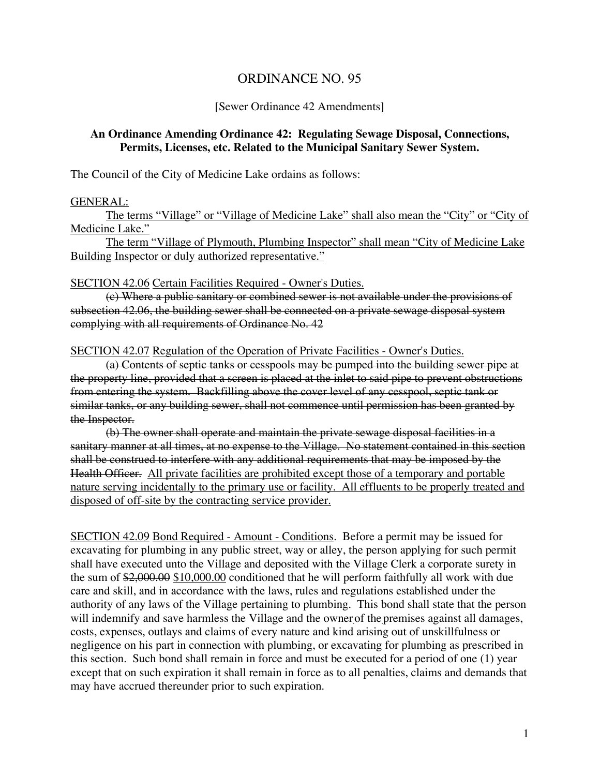# ORDINANCE NO. 95

### [Sewer Ordinance 42 Amendments]

## **An Ordinance Amending Ordinance 42: Regulating Sewage Disposal, Connections, Permits, Licenses, etc. Related to the Municipal Sanitary Sewer System.**

The Council of the City of Medicine Lake ordains as follows:

#### GENERAL:

The terms "Village" or "Village of Medicine Lake" shall also mean the "City" or "City of Medicine Lake."

The term "Village of Plymouth, Plumbing Inspector" shall mean "City of Medicine Lake Building Inspector or duly authorized representative."

SECTION 42.06 Certain Facilities Required - Owner's Duties.

(c) Where a public sanitary or combined sewer is not available under the provisions of subsection 42.06, the building sewer shall be connected on a private sewage disposal system complying with all requirements of Ordinance No. 42

SECTION 42.07 Regulation of the Operation of Private Facilities - Owner's Duties.

(a) Contents of septic tanks or cesspools may be pumped into the building sewer pipe at the property line, provided that a screen is placed at the inlet to said pipe to prevent obstructions from entering the system. Backfilling above the cover level of any cesspool, septic tank or similar tanks, or any building sewer, shall not commence until permission has been granted by the Inspector.

(b) The owner shall operate and maintain the private sewage disposal facilities in a sanitary manner at all times, at no expense to the Village. No statement contained in this section shall be construed to interfere with any additional requirements that may be imposed by the Health Officer. All private facilities are prohibited except those of a temporary and portable nature serving incidentally to the primary use or facility. All effluents to be properly treated and disposed of off-site by the contracting service provider.

SECTION 42.09 Bond Required - Amount - Conditions. Before a permit may be issued for excavating for plumbing in any public street, way or alley, the person applying for such permit shall have executed unto the Village and deposited with the Village Clerk a corporate surety in the sum of \$2,000.00 \$10,000.00 conditioned that he will perform faithfully all work with due care and skill, and in accordance with the laws, rules and regulations established under the authority of any laws of the Village pertaining to plumbing. This bond shall state that the person will indemnify and save harmless the Village and the owner of the premises against all damages, costs, expenses, outlays and claims of every nature and kind arising out of unskillfulness or negligence on his part in connection with plumbing, or excavating for plumbing as prescribed in this section. Such bond shall remain in force and must be executed for a period of one (1) year except that on such expiration it shall remain in force as to all penalties, claims and demands that may have accrued thereunder prior to such expiration.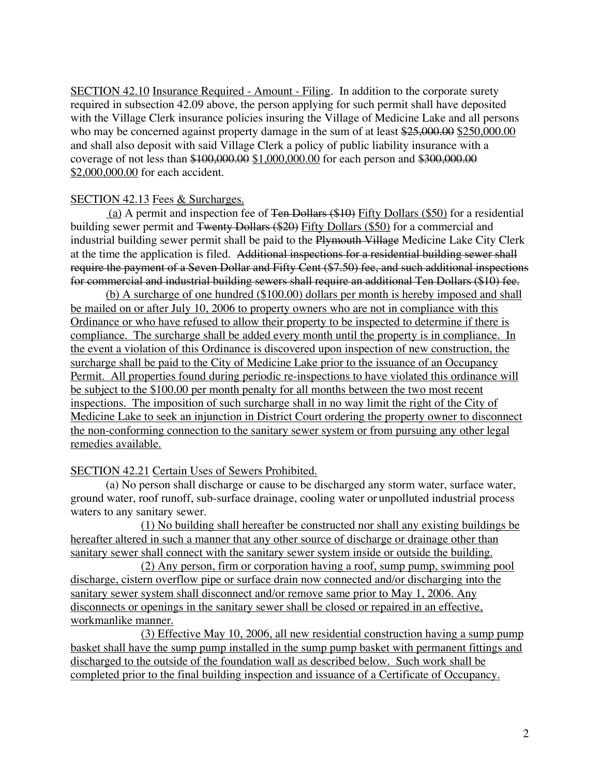SECTION 42.10 Insurance Required - Amount - Filing. In addition to the corporate surety required in subsection 42.09 above, the person applying for such permit shall have deposited with the Village Clerk insurance policies insuring the Village of Medicine Lake and all persons who may be concerned against property damage in the sum of at least \$25,000.00 \$250,000.00 and shall also deposit with said Village Clerk a policy of public liability insurance with a coverage of not less than \$100,000.00 \$1,000,000.00 for each person and \$300,000.00 \$2,000,000.00 for each accident.

## SECTION 42.13 Fees & Surcharges.

 (a) A permit and inspection fee of Ten Dollars (\$10) Fifty Dollars (\$50) for a residential building sewer permit and <del>Twenty Dollars (\$20)</del> Fifty Dollars (\$50) for a commercial and industrial building sewer permit shall be paid to the Plymouth Village Medicine Lake City Clerk at the time the application is filed. Additional inspections for a residential building sewer shall require the payment of a Seven Dollar and Fifty Cent (\$7.50) fee, and such additional inspections for commercial and industrial building sewers shall require an additional Ten Dollars (\$10) fee.

(b) A surcharge of one hundred (\$100.00) dollars per month is hereby imposed and shall be mailed on or after July 10, 2006 to property owners who are not in compliance with this Ordinance or who have refused to allow their property to be inspected to determine if there is compliance. The surcharge shall be added every month until the property is in compliance. In the event a violation of this Ordinance is discovered upon inspection of new construction, the surcharge shall be paid to the City of Medicine Lake prior to the issuance of an Occupancy Permit. All properties found during periodic re-inspections to have violated this ordinance will be subject to the \$100.00 per month penalty for all months between the two most recent inspections. The imposition of such surcharge shall in no way limit the right of the City of Medicine Lake to seek an injunction in District Court ordering the property owner to disconnect the non-conforming connection to the sanitary sewer system or from pursuing any other legal remedies available.

## SECTION 42.21 Certain Uses of Sewers Prohibited.

(a) No person shall discharge or cause to be discharged any storm water, surface water, ground water, roof runoff, sub-surface drainage, cooling water or unpolluted industrial process waters to any sanitary sewer.

(1) No building shall hereafter be constructed nor shall any existing buildings be hereafter altered in such a manner that any other source of discharge or drainage other than sanitary sewer shall connect with the sanitary sewer system inside or outside the building.

(2) Any person, firm or corporation having a roof, sump pump, swimming pool discharge, cistern overflow pipe or surface drain now connected and/or discharging into the sanitary sewer system shall disconnect and/or remove same prior to May 1, 2006. Any disconnects or openings in the sanitary sewer shall be closed or repaired in an effective, workmanlike manner.

(3) Effective May 10, 2006, all new residential construction having a sump pump basket shall have the sump pump installed in the sump pump basket with permanent fittings and discharged to the outside of the foundation wall as described below. Such work shall be completed prior to the final building inspection and issuance of a Certificate of Occupancy.